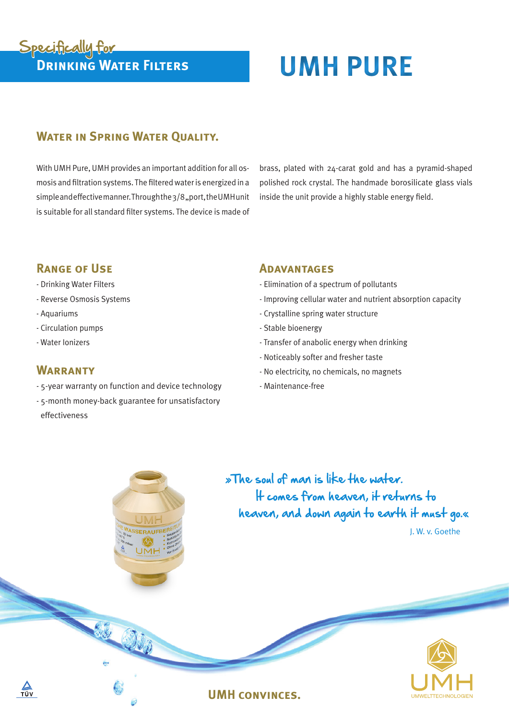**WATER IN SPRING WATER QUALITY.** 

With UMH Pure, UMH provides an important addition for all osmosis and filtration systems. The filteredwateris energized in a simpleandeffectivemanner.Throughthe3/8,port,theUMHunit is suitable for all standard filter systems. The device is made of

**Drinking Water Filters UMH PURE**

brass, plated with 24-carat gold and has a pyramid-shaped polished rock crystal. The handmade borosilicate glass vials inside the unit provide a highly stable energy field.

# **Range of Use**

Specifically for

- Drinking Water Filters
- Reverse Osmosis Systems
- Aquariums
- Circulation pumps
- Water Ionizers

# **WARRANTY**

- 5-year warranty on function and device technology
- 5-month money-back guarantee for unsatisfactory effectiveness

### **Adavantages**

- Elimination of a spectrum of pollutants
- Improving cellular water and nutrient absorption capacity
- Crystalline spring water structure
- Stable bioenergy
- Transfer of anabolic energy when drinking
- Noticeably softer and fresher taste
- No electricity, no chemicals, no magnets
- Maintenance-free

**UMH convinces.**

»The soul of man is like the water. It comes from heaven, it returns to heaven, and down again to earth it must go.« J. W. v. Goethe